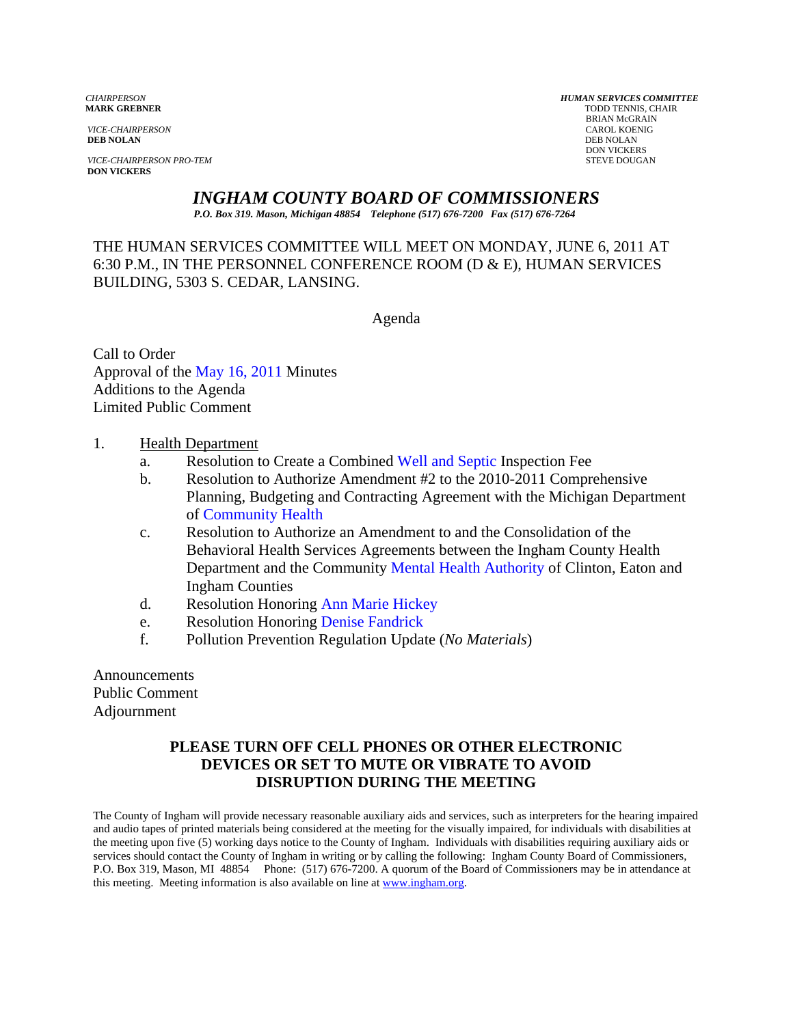*VICE-CHAIRPERSON* CAROL KOENIG CAROL KOENIG AND CAROL KOENIG CAROL KOENIG CAROL KOENIG CAROL KOENIG CAROL KOEN<br>**DEB NOLAN** DEB NOLAN **DEB NOLAN** DEB NOLAN

**VICE-CHAIRPERSON PRO-TEM** STEVE DOUGAN **DON VICKERS** 

*CHAIRPERSON HUMAN SERVICES COMMITTEE* TODD TENNIS, CHAIR BRIAN McGRAIN<br>CAROL KOENIG DON VICKERS

*INGHAM COUNTY BOARD OF COMMISSIONERS* 

*P.O. Box 319. Mason, Michigan 48854 Telephone (517) 676-7200 Fax (517) 676-7264*

THE HUMAN SERVICES COMMITTEE WILL MEET ON MONDAY, JUNE 6, 2011 AT 6:30 P.M., IN THE PERSONNEL CONFERENCE ROOM (D & E), HUMAN SERVICES BUILDING, 5303 S. CEDAR, LANSING.

Agenda

Call to Order Approval [of the May 16, 2011 Minutes](#page-1-0)  Additions to the Agenda Limited Public Comment

- 1. Health Department
	- a. Resolution to Create a Combi[ned Well and Septic Inspection F](#page-6-0)ee
	- b. Resolution to Authorize Amendment #2 to the 2010-2011 Comprehensive Planning, Budgeting and Contracting Agreement with the Michigan Department of Community Health
	- c. [Resolution to Authorize an](#page-8-0) Amendment to and the Consolidation of the Behavioral Health Services Agreements between the Ingham County Health Department and the Communit[y Mental Health Authority of Clinto](#page-10-0)n, Eaton and Ingham Counties
	- d. Resolution Honori[ng Ann Marie Hickey](#page-13-0)
	- e. Resolution Honoring Denise Fandrick
	- f. Pollution Preventio[n Regulation Update \(](#page-14-0)*No Materials*)

Announcements Public Comment Adjournment

## **PLEASE TURN OFF CELL PHONES OR OTHER ELECTRONIC DEVICES OR SET TO MUTE OR VIBRATE TO AVOID DISRUPTION DURING THE MEETING**

The County of Ingham will provide necessary reasonable auxiliary aids and services, such as interpreters for the hearing impaired and audio tapes of printed materials being considered at the meeting for the visually impaired, for individuals with disabilities at the meeting upon five (5) working days notice to the County of Ingham. Individuals with disabilities requiring auxiliary aids or services should contact the County of Ingham in writing or by calling the following: Ingham County Board of Commissioners, P.O. Box 319, Mason, MI 48854 Phone: (517) 676-7200. A quorum of the Board of Commissioners may be in attendance at this meeting. Meeting information is also available on line at www.ingham.org.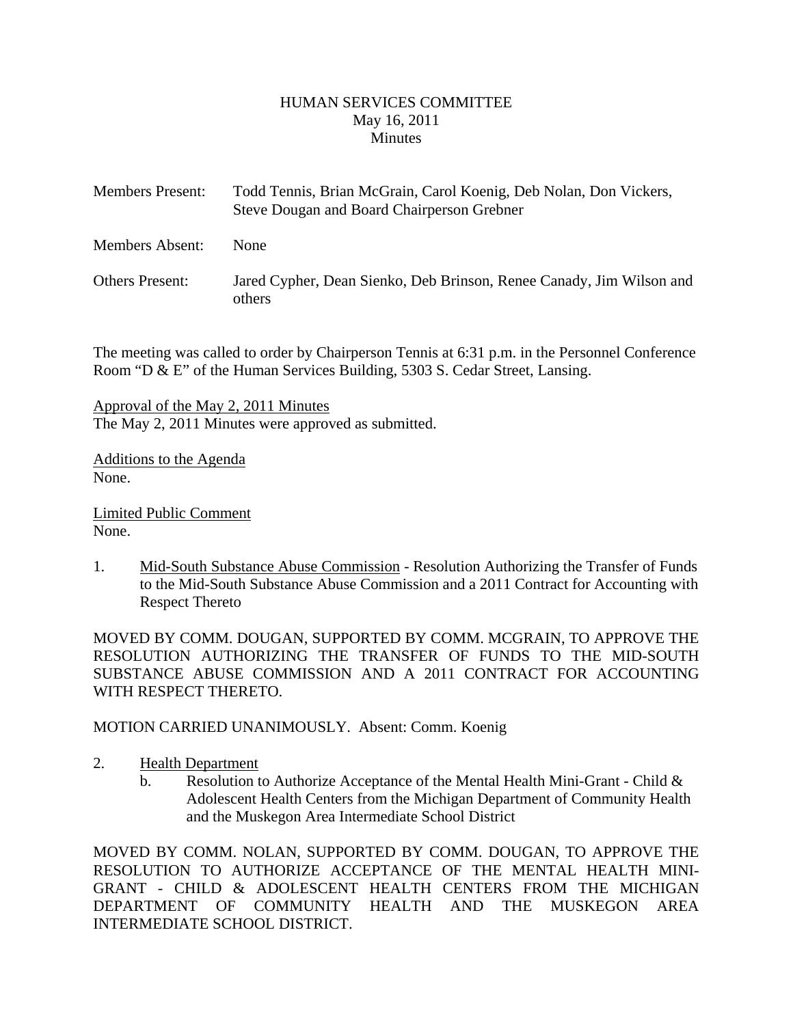### HUMAN SERVICES COMMITTEE May 16, 2011 **Minutes**

<span id="page-1-0"></span>

| <b>Members Present:</b> | Todd Tennis, Brian McGrain, Carol Koenig, Deb Nolan, Don Vickers,<br>Steve Dougan and Board Chairperson Grebner |
|-------------------------|-----------------------------------------------------------------------------------------------------------------|
| Members Absent:         | <b>None</b>                                                                                                     |
| <b>Others Present:</b>  | Jared Cypher, Dean Sienko, Deb Brinson, Renee Canady, Jim Wilson and<br>others                                  |

The meeting was called to order by Chairperson Tennis at 6:31 p.m. in the Personnel Conference Room "D & E" of the Human Services Building, 5303 S. Cedar Street, Lansing.

Approval of the May 2, 2011 Minutes The May 2, 2011 Minutes were approved as submitted.

Additions to the Agenda None.

Limited Public Comment None.

1. Mid-South Substance Abuse Commission - Resolution Authorizing the Transfer of Funds to the Mid-South Substance Abuse Commission and a 2011 Contract for Accounting with Respect Thereto

MOVED BY COMM. DOUGAN, SUPPORTED BY COMM. MCGRAIN, TO APPROVE THE RESOLUTION AUTHORIZING THE TRANSFER OF FUNDS TO THE MID-SOUTH SUBSTANCE ABUSE COMMISSION AND A 2011 CONTRACT FOR ACCOUNTING WITH RESPECT THERETO.

MOTION CARRIED UNANIMOUSLY. Absent: Comm. Koenig

- 2. Health Department
	- b. Resolution to Authorize Acceptance of the Mental Health Mini-Grant Child  $\&$ Adolescent Health Centers from the Michigan Department of Community Health and the Muskegon Area Intermediate School District

MOVED BY COMM. NOLAN, SUPPORTED BY COMM. DOUGAN, TO APPROVE THE RESOLUTION TO AUTHORIZE ACCEPTANCE OF THE MENTAL HEALTH MINI-GRANT - CHILD & ADOLESCENT HEALTH CENTERS FROM THE MICHIGAN DEPARTMENT OF COMMUNITY HEALTH AND THE MUSKEGON AREA INTERMEDIATE SCHOOL DISTRICT.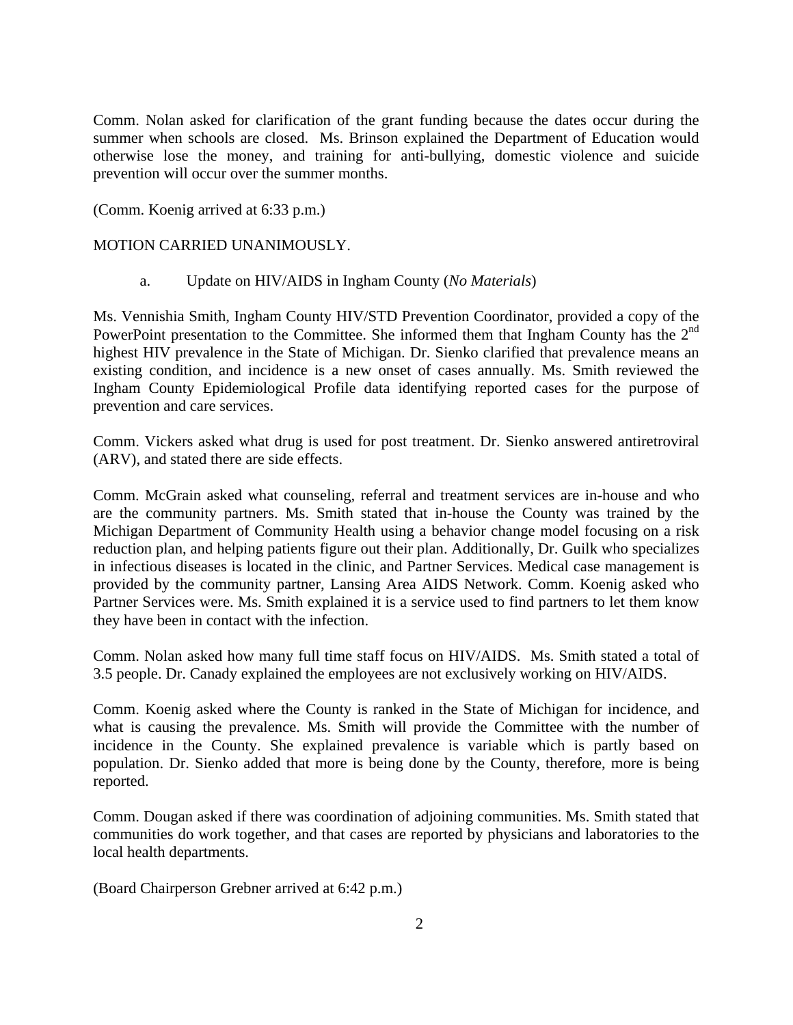Comm. Nolan asked for clarification of the grant funding because the dates occur during the summer when schools are closed. Ms. Brinson explained the Department of Education would otherwise lose the money, and training for anti-bullying, domestic violence and suicide prevention will occur over the summer months.

(Comm. Koenig arrived at 6:33 p.m.)

### MOTION CARRIED UNANIMOUSLY.

a. Update on HIV/AIDS in Ingham County (*No Materials*)

Ms. Vennishia Smith, Ingham County HIV/STD Prevention Coordinator, provided a copy of the PowerPoint presentation to the Committee. She informed them that Ingham County has the 2<sup>nd</sup> highest HIV prevalence in the State of Michigan. Dr. Sienko clarified that prevalence means an existing condition, and incidence is a new onset of cases annually. Ms. Smith reviewed the Ingham County Epidemiological Profile data identifying reported cases for the purpose of prevention and care services.

Comm. Vickers asked what drug is used for post treatment. Dr. Sienko answered antiretroviral (ARV), and stated there are side effects.

Comm. McGrain asked what counseling, referral and treatment services are in-house and who are the community partners. Ms. Smith stated that in-house the County was trained by the Michigan Department of Community Health using a behavior change model focusing on a risk reduction plan, and helping patients figure out their plan. Additionally, Dr. Guilk who specializes in infectious diseases is located in the clinic, and Partner Services. Medical case management is provided by the community partner, Lansing Area AIDS Network. Comm. Koenig asked who Partner Services were. Ms. Smith explained it is a service used to find partners to let them know they have been in contact with the infection.

Comm. Nolan asked how many full time staff focus on HIV/AIDS. Ms. Smith stated a total of 3.5 people. Dr. Canady explained the employees are not exclusively working on HIV/AIDS.

Comm. Koenig asked where the County is ranked in the State of Michigan for incidence, and what is causing the prevalence. Ms. Smith will provide the Committee with the number of incidence in the County. She explained prevalence is variable which is partly based on population. Dr. Sienko added that more is being done by the County, therefore, more is being reported.

Comm. Dougan asked if there was coordination of adjoining communities. Ms. Smith stated that communities do work together, and that cases are reported by physicians and laboratories to the local health departments.

(Board Chairperson Grebner arrived at 6:42 p.m.)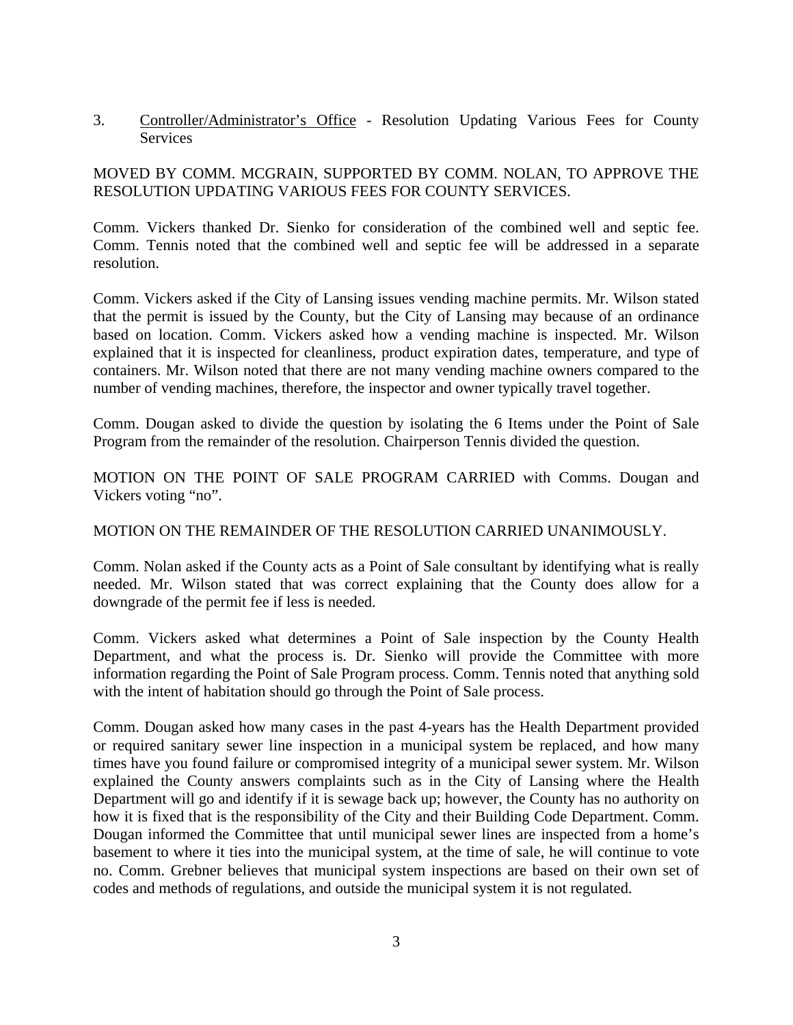3. Controller/Administrator's Office - Resolution Updating Various Fees for County **Services** 

# MOVED BY COMM. MCGRAIN, SUPPORTED BY COMM. NOLAN, TO APPROVE THE RESOLUTION UPDATING VARIOUS FEES FOR COUNTY SERVICES.

Comm. Vickers thanked Dr. Sienko for consideration of the combined well and septic fee. Comm. Tennis noted that the combined well and septic fee will be addressed in a separate resolution.

Comm. Vickers asked if the City of Lansing issues vending machine permits. Mr. Wilson stated that the permit is issued by the County, but the City of Lansing may because of an ordinance based on location. Comm. Vickers asked how a vending machine is inspected. Mr. Wilson explained that it is inspected for cleanliness, product expiration dates, temperature, and type of containers. Mr. Wilson noted that there are not many vending machine owners compared to the number of vending machines, therefore, the inspector and owner typically travel together.

Comm. Dougan asked to divide the question by isolating the 6 Items under the Point of Sale Program from the remainder of the resolution. Chairperson Tennis divided the question.

MOTION ON THE POINT OF SALE PROGRAM CARRIED with Comms. Dougan and Vickers voting "no".

### MOTION ON THE REMAINDER OF THE RESOLUTION CARRIED UNANIMOUSLY.

Comm. Nolan asked if the County acts as a Point of Sale consultant by identifying what is really needed. Mr. Wilson stated that was correct explaining that the County does allow for a downgrade of the permit fee if less is needed.

Comm. Vickers asked what determines a Point of Sale inspection by the County Health Department, and what the process is. Dr. Sienko will provide the Committee with more information regarding the Point of Sale Program process. Comm. Tennis noted that anything sold with the intent of habitation should go through the Point of Sale process.

Comm. Dougan asked how many cases in the past 4-years has the Health Department provided or required sanitary sewer line inspection in a municipal system be replaced, and how many times have you found failure or compromised integrity of a municipal sewer system. Mr. Wilson explained the County answers complaints such as in the City of Lansing where the Health Department will go and identify if it is sewage back up; however, the County has no authority on how it is fixed that is the responsibility of the City and their Building Code Department. Comm. Dougan informed the Committee that until municipal sewer lines are inspected from a home's basement to where it ties into the municipal system, at the time of sale, he will continue to vote no. Comm. Grebner believes that municipal system inspections are based on their own set of codes and methods of regulations, and outside the municipal system it is not regulated.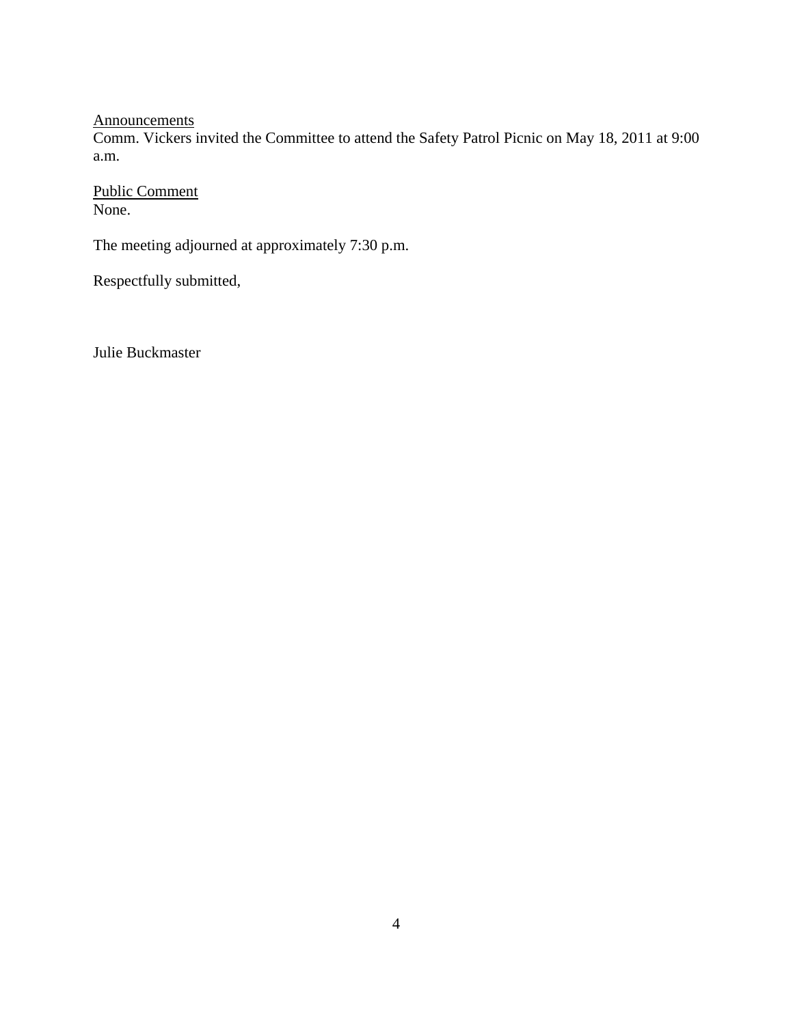Announcements

Comm. Vickers invited the Committee to attend the Safety Patrol Picnic on May 18, 2011 at 9:00 a.m.

Public Comment None.

The meeting adjourned at approximately 7:30 p.m.

Respectfully submitted,

Julie Buckmaster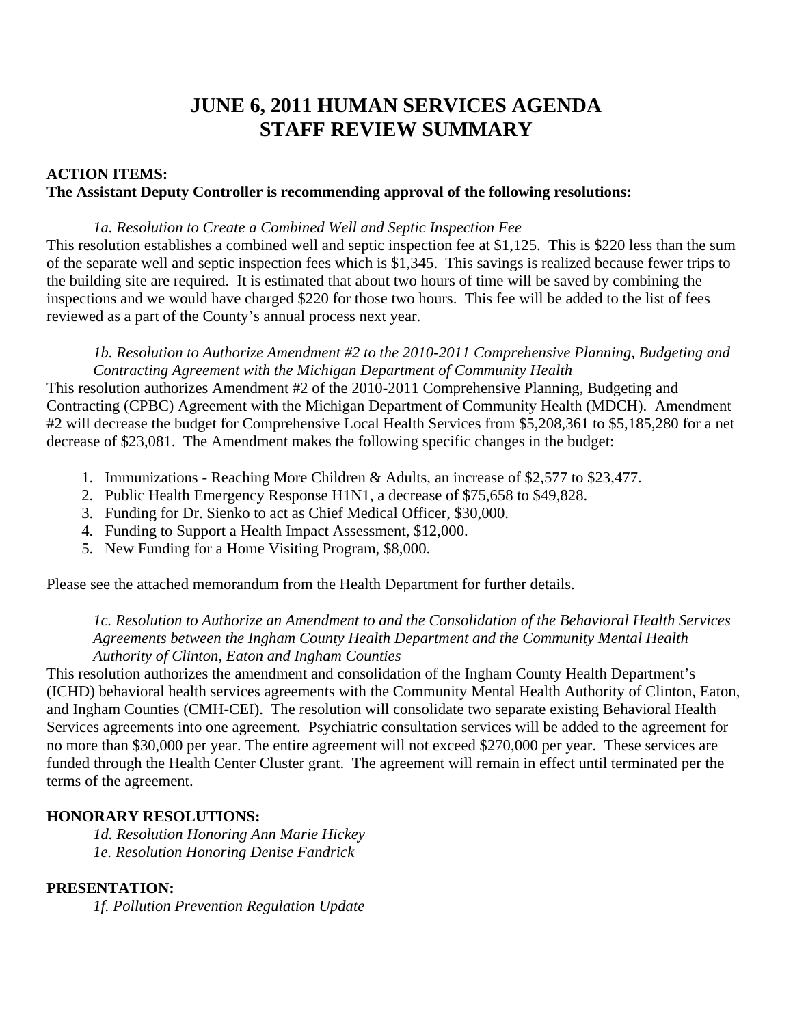# **JUNE 6, 2011 HUMAN SERVICES AGENDA STAFF REVIEW SUMMARY**

# **ACTION ITEMS: The Assistant Deputy Controller is recommending approval of the following resolutions:**

### *1a. Resolution to Create a Combined Well and Septic Inspection Fee*

This resolution establishes a combined well and septic inspection fee at \$1,125. This is \$220 less than the sum of the separate well and septic inspection fees which is \$1,345. This savings is realized because fewer trips to the building site are required. It is estimated that about two hours of time will be saved by combining the inspections and we would have charged \$220 for those two hours. This fee will be added to the list of fees reviewed as a part of the County's annual process next year.

*1b. Resolution to Authorize Amendment #2 to the 2010-2011 Comprehensive Planning, Budgeting and Contracting Agreement with the Michigan Department of Community Health* 

This resolution authorizes Amendment #2 of the 2010-2011 Comprehensive Planning, Budgeting and Contracting (CPBC) Agreement with the Michigan Department of Community Health (MDCH). Amendment #2 will decrease the budget for Comprehensive Local Health Services from \$5,208,361 to \$5,185,280 for a net decrease of \$23,081. The Amendment makes the following specific changes in the budget:

- 1. Immunizations Reaching More Children & Adults, an increase of \$2,577 to \$23,477.
- 2. Public Health Emergency Response H1N1, a decrease of \$75,658 to \$49,828.
- 3. Funding for Dr. Sienko to act as Chief Medical Officer, \$30,000.
- 4. Funding to Support a Health Impact Assessment, \$12,000.
- 5. New Funding for a Home Visiting Program, \$8,000.

Please see the attached memorandum from the Health Department for further details.

## *1c. Resolution to Authorize an Amendment to and the Consolidation of the Behavioral Health Services Agreements between the Ingham County Health Department and the Community Mental Health Authority of Clinton, Eaton and Ingham Counties*

This resolution authorizes the amendment and consolidation of the Ingham County Health Department's (ICHD) behavioral health services agreements with the Community Mental Health Authority of Clinton, Eaton, and Ingham Counties (CMH-CEI). The resolution will consolidate two separate existing Behavioral Health Services agreements into one agreement. Psychiatric consultation services will be added to the agreement for no more than \$30,000 per year. The entire agreement will not exceed \$270,000 per year. These services are funded through the Health Center Cluster grant. The agreement will remain in effect until terminated per the terms of the agreement.

# **HONORARY RESOLUTIONS:**

*1d. Resolution Honoring Ann Marie Hickey 1e. Resolution Honoring Denise Fandrick* 

# **PRESENTATION:**

*1f. Pollution Prevention Regulation Update*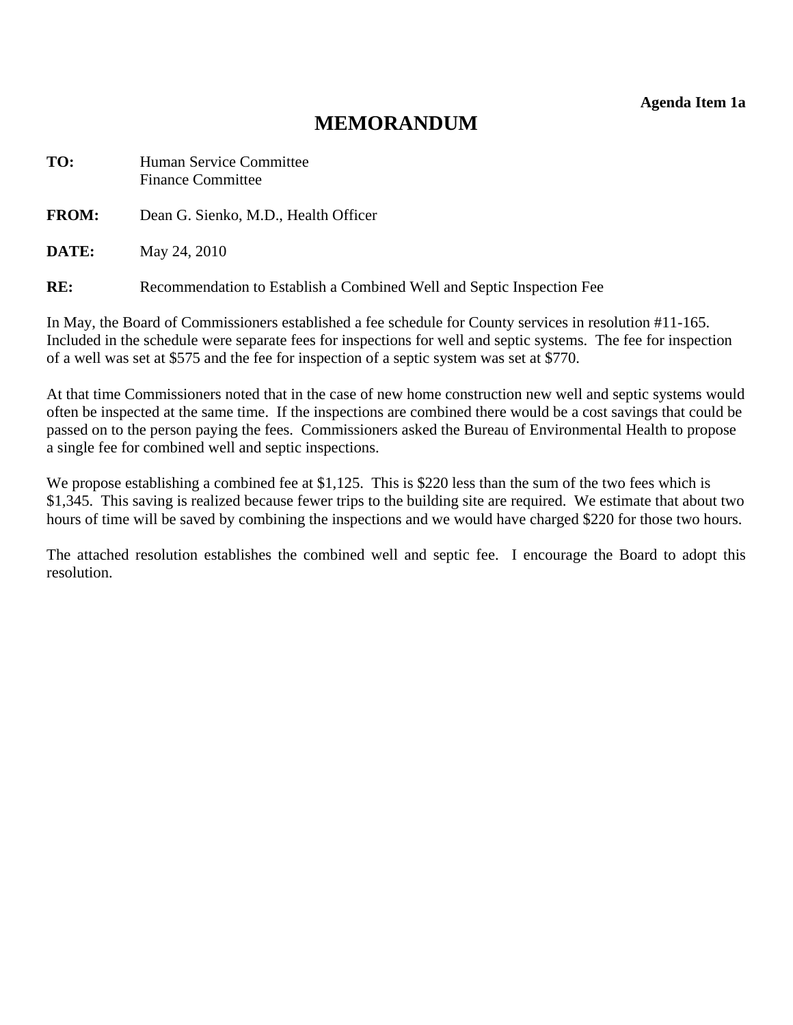**Agenda Item 1a** 

# **MEMORANDUM**

<span id="page-6-0"></span>

| TO:          | Human Service Committee<br><b>Finance Committee</b> |
|--------------|-----------------------------------------------------|
| <b>FROM:</b> | Dean G. Sienko, M.D., Health Officer                |
| DATE:        | May 24, 2010                                        |

**RE:** Recommendation to Establish a Combined Well and Septic Inspection Fee

In May, the Board of Commissioners established a fee schedule for County services in resolution #11-165. Included in the schedule were separate fees for inspections for well and septic systems. The fee for inspection of a well was set at \$575 and the fee for inspection of a septic system was set at \$770.

At that time Commissioners noted that in the case of new home construction new well and septic systems would often be inspected at the same time. If the inspections are combined there would be a cost savings that could be passed on to the person paying the fees. Commissioners asked the Bureau of Environmental Health to propose a single fee for combined well and septic inspections.

We propose establishing a combined fee at \$1,125. This is \$220 less than the sum of the two fees which is \$1,345. This saving is realized because fewer trips to the building site are required. We estimate that about two hours of time will be saved by combining the inspections and we would have charged \$220 for those two hours.

The attached resolution establishes the combined well and septic fee. I encourage the Board to adopt this resolution.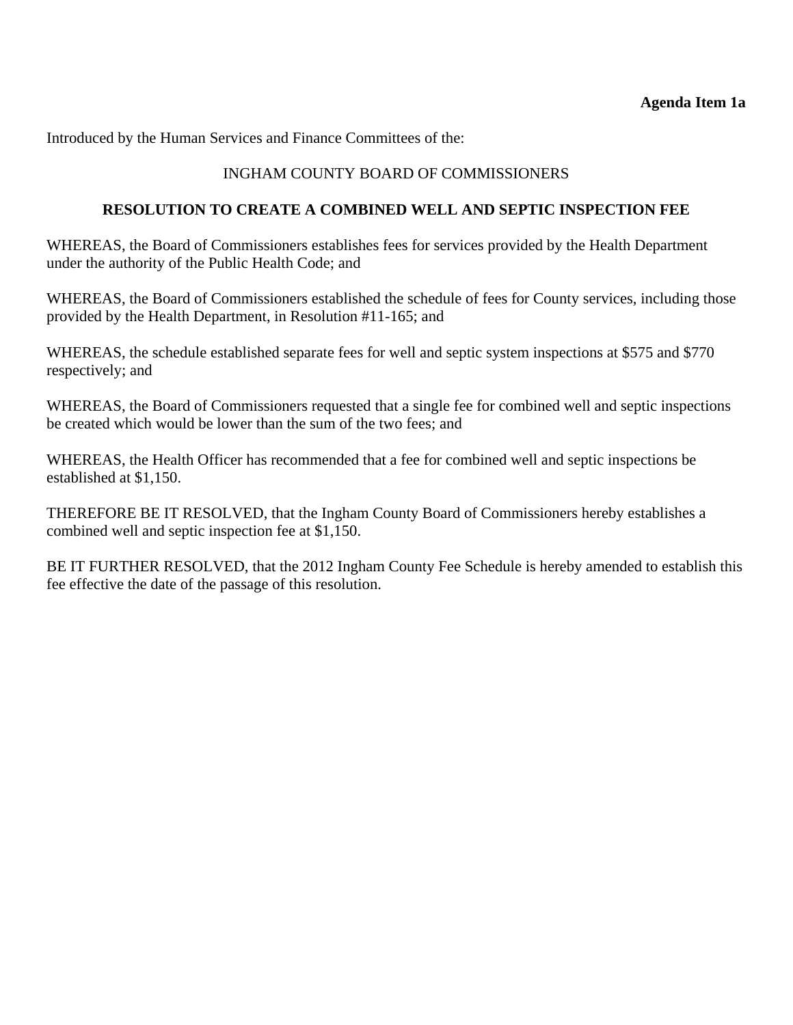### **Agenda Item 1a**

Introduced by the Human Services and Finance Committees of the:

## INGHAM COUNTY BOARD OF COMMISSIONERS

### **RESOLUTION TO CREATE A COMBINED WELL AND SEPTIC INSPECTION FEE**

WHEREAS, the Board of Commissioners establishes fees for services provided by the Health Department under the authority of the Public Health Code; and

WHEREAS, the Board of Commissioners established the schedule of fees for County services, including those provided by the Health Department, in Resolution #11-165; and

WHEREAS, the schedule established separate fees for well and septic system inspections at \$575 and \$770 respectively; and

WHEREAS, the Board of Commissioners requested that a single fee for combined well and septic inspections be created which would be lower than the sum of the two fees; and

WHEREAS, the Health Officer has recommended that a fee for combined well and septic inspections be established at \$1,150.

THEREFORE BE IT RESOLVED, that the Ingham County Board of Commissioners hereby establishes a combined well and septic inspection fee at \$1,150.

BE IT FURTHER RESOLVED, that the 2012 Ingham County Fee Schedule is hereby amended to establish this fee effective the date of the passage of this resolution.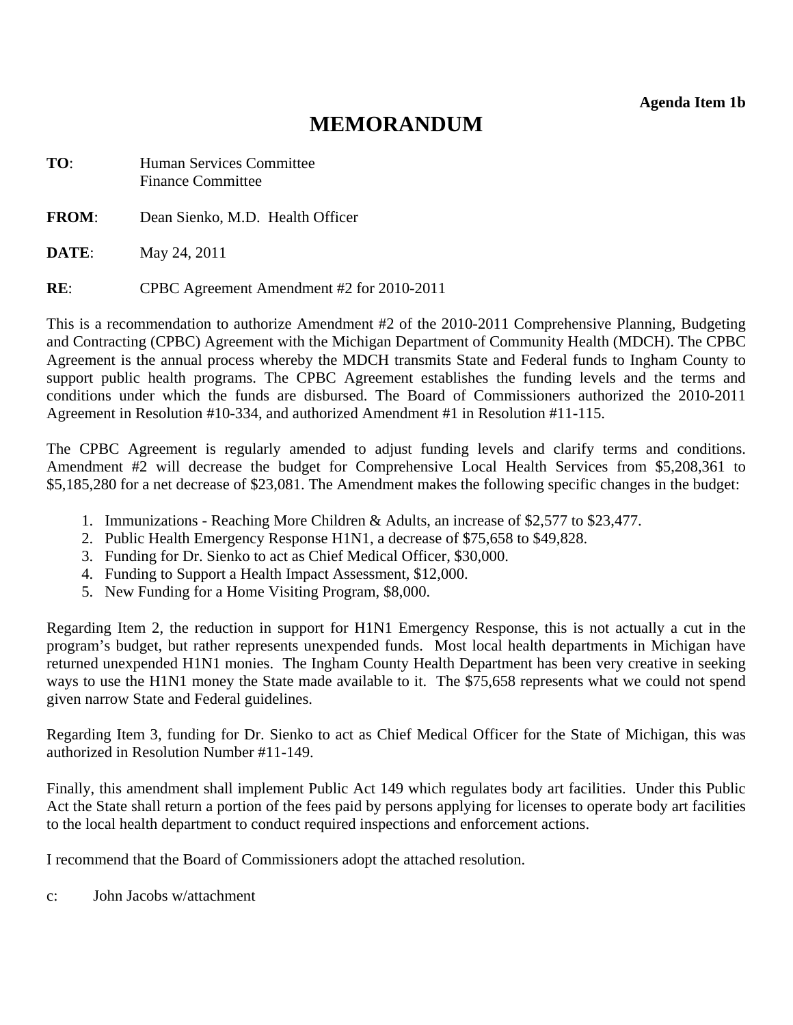**Agenda Item 1b** 

# **MEMORANDUM**

<span id="page-8-0"></span>**TO**: Human Services Committee Finance Committee

**FROM**: Dean Sienko, M.D. Health Officer

**DATE**: May 24, 2011

**RE**: CPBC Agreement Amendment #2 for 2010-2011

This is a recommendation to authorize Amendment #2 of the 2010-2011 Comprehensive Planning, Budgeting and Contracting (CPBC) Agreement with the Michigan Department of Community Health (MDCH). The CPBC Agreement is the annual process whereby the MDCH transmits State and Federal funds to Ingham County to support public health programs. The CPBC Agreement establishes the funding levels and the terms and conditions under which the funds are disbursed. The Board of Commissioners authorized the 2010-2011 Agreement in Resolution #10-334, and authorized Amendment #1 in Resolution #11-115.

The CPBC Agreement is regularly amended to adjust funding levels and clarify terms and conditions. Amendment #2 will decrease the budget for Comprehensive Local Health Services from \$5,208,361 to \$5,185,280 for a net decrease of \$23,081. The Amendment makes the following specific changes in the budget:

- 1. Immunizations Reaching More Children & Adults, an increase of \$2,577 to \$23,477.
- 2. Public Health Emergency Response H1N1, a decrease of \$75,658 to \$49,828.
- 3. Funding for Dr. Sienko to act as Chief Medical Officer, \$30,000.
- 4. Funding to Support a Health Impact Assessment, \$12,000.
- 5. New Funding for a Home Visiting Program, \$8,000.

Regarding Item 2, the reduction in support for H1N1 Emergency Response, this is not actually a cut in the program's budget, but rather represents unexpended funds. Most local health departments in Michigan have returned unexpended H1N1 monies. The Ingham County Health Department has been very creative in seeking ways to use the H1N1 money the State made available to it. The \$75,658 represents what we could not spend given narrow State and Federal guidelines.

Regarding Item 3, funding for Dr. Sienko to act as Chief Medical Officer for the State of Michigan, this was authorized in Resolution Number #11-149.

Finally, this amendment shall implement Public Act 149 which regulates body art facilities. Under this Public Act the State shall return a portion of the fees paid by persons applying for licenses to operate body art facilities to the local health department to conduct required inspections and enforcement actions.

I recommend that the Board of Commissioners adopt the attached resolution.

c: John Jacobs w/attachment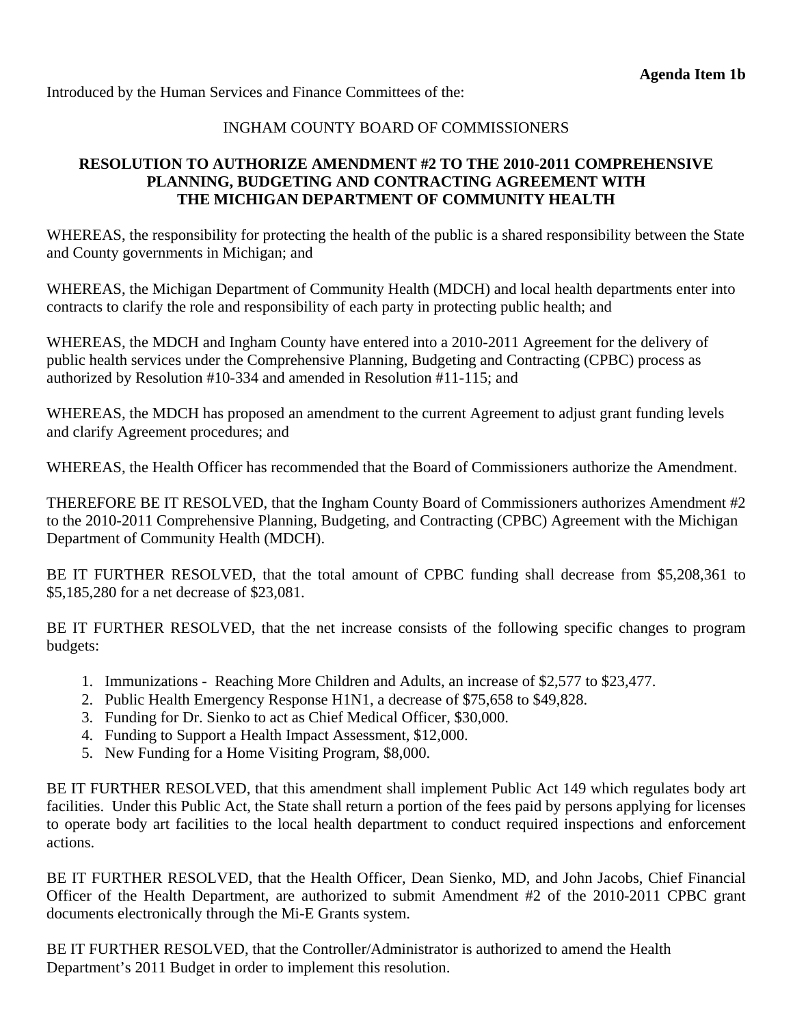Introduced by the Human Services and Finance Committees of the:

# INGHAM COUNTY BOARD OF COMMISSIONERS

# **RESOLUTION TO AUTHORIZE AMENDMENT #2 TO THE 2010-2011 COMPREHENSIVE PLANNING, BUDGETING AND CONTRACTING AGREEMENT WITH THE MICHIGAN DEPARTMENT OF COMMUNITY HEALTH**

WHEREAS, the responsibility for protecting the health of the public is a shared responsibility between the State and County governments in Michigan; and

WHEREAS, the Michigan Department of Community Health (MDCH) and local health departments enter into contracts to clarify the role and responsibility of each party in protecting public health; and

WHEREAS, the MDCH and Ingham County have entered into a 2010-2011 Agreement for the delivery of public health services under the Comprehensive Planning, Budgeting and Contracting (CPBC) process as authorized by Resolution #10-334 and amended in Resolution #11-115; and

WHEREAS, the MDCH has proposed an amendment to the current Agreement to adjust grant funding levels and clarify Agreement procedures; and

WHEREAS, the Health Officer has recommended that the Board of Commissioners authorize the Amendment.

THEREFORE BE IT RESOLVED, that the Ingham County Board of Commissioners authorizes Amendment #2 to the 2010-2011 Comprehensive Planning, Budgeting, and Contracting (CPBC) Agreement with the Michigan Department of Community Health (MDCH).

BE IT FURTHER RESOLVED, that the total amount of CPBC funding shall decrease from \$5,208,361 to \$5,185,280 for a net decrease of \$23,081.

BE IT FURTHER RESOLVED, that the net increase consists of the following specific changes to program budgets:

- 1. Immunizations Reaching More Children and Adults, an increase of \$2,577 to \$23,477.
- 2. Public Health Emergency Response H1N1, a decrease of \$75,658 to \$49,828.
- 3. Funding for Dr. Sienko to act as Chief Medical Officer, \$30,000.
- 4. Funding to Support a Health Impact Assessment, \$12,000.
- 5. New Funding for a Home Visiting Program, \$8,000.

BE IT FURTHER RESOLVED, that this amendment shall implement Public Act 149 which regulates body art facilities. Under this Public Act, the State shall return a portion of the fees paid by persons applying for licenses to operate body art facilities to the local health department to conduct required inspections and enforcement actions.

BE IT FURTHER RESOLVED, that the Health Officer, Dean Sienko, MD, and John Jacobs, Chief Financial Officer of the Health Department, are authorized to submit Amendment #2 of the 2010-2011 CPBC grant documents electronically through the Mi-E Grants system.

BE IT FURTHER RESOLVED, that the Controller/Administrator is authorized to amend the Health Department's 2011 Budget in order to implement this resolution.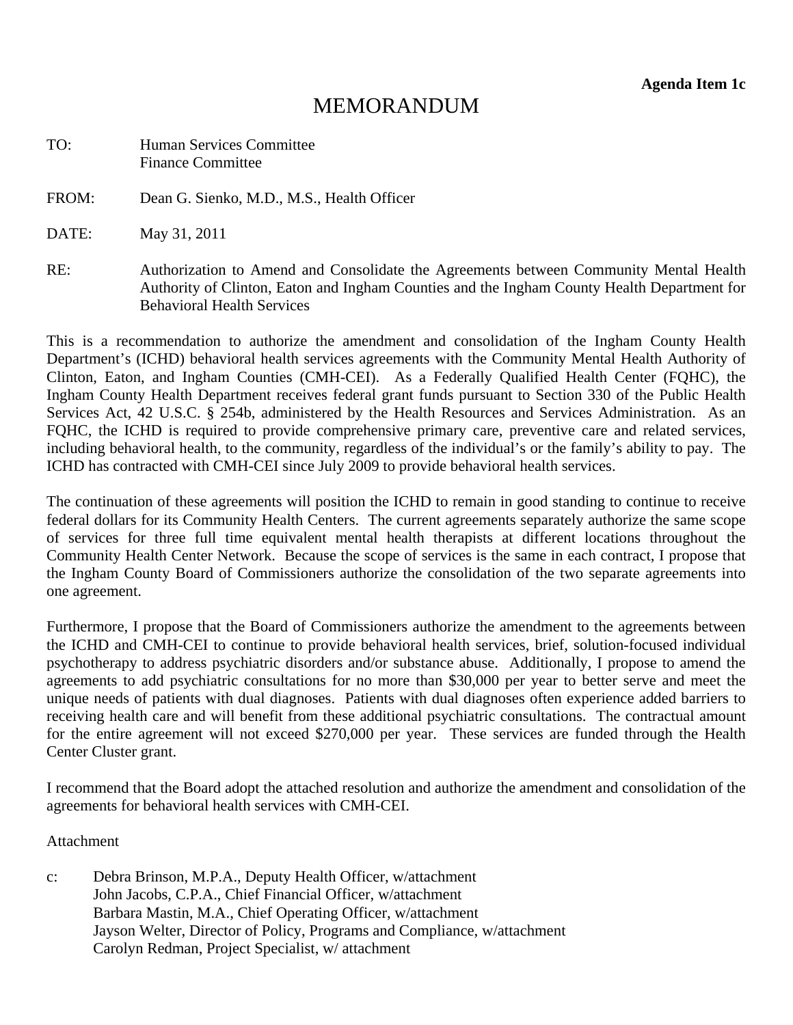# **MEMORANDUM**

<span id="page-10-0"></span>

| TO: | <b>Human Services Committee</b> |
|-----|---------------------------------|
|     | <b>Finance Committee</b>        |

FROM: Dean G. Sienko, M.D., M.S., Health Officer

DATE: May 31, 2011

RE: Authorization to Amend and Consolidate the Agreements between Community Mental Health Authority of Clinton, Eaton and Ingham Counties and the Ingham County Health Department for Behavioral Health Services

This is a recommendation to authorize the amendment and consolidation of the Ingham County Health Department's (ICHD) behavioral health services agreements with the Community Mental Health Authority of Clinton, Eaton, and Ingham Counties (CMH-CEI). As a Federally Qualified Health Center (FQHC), the Ingham County Health Department receives federal grant funds pursuant to Section 330 of the Public Health Services Act, 42 U.S.C. § 254b, administered by the Health Resources and Services Administration. As an FQHC, the ICHD is required to provide comprehensive primary care, preventive care and related services, including behavioral health, to the community, regardless of the individual's or the family's ability to pay. The ICHD has contracted with CMH-CEI since July 2009 to provide behavioral health services.

The continuation of these agreements will position the ICHD to remain in good standing to continue to receive federal dollars for its Community Health Centers. The current agreements separately authorize the same scope of services for three full time equivalent mental health therapists at different locations throughout the Community Health Center Network. Because the scope of services is the same in each contract, I propose that the Ingham County Board of Commissioners authorize the consolidation of the two separate agreements into one agreement.

Furthermore, I propose that the Board of Commissioners authorize the amendment to the agreements between the ICHD and CMH-CEI to continue to provide behavioral health services, brief, solution-focused individual psychotherapy to address psychiatric disorders and/or substance abuse. Additionally, I propose to amend the agreements to add psychiatric consultations for no more than \$30,000 per year to better serve and meet the unique needs of patients with dual diagnoses. Patients with dual diagnoses often experience added barriers to receiving health care and will benefit from these additional psychiatric consultations. The contractual amount for the entire agreement will not exceed \$270,000 per year. These services are funded through the Health Center Cluster grant.

I recommend that the Board adopt the attached resolution and authorize the amendment and consolidation of the agreements for behavioral health services with CMH-CEI.

#### **Attachment**

c: Debra Brinson, M.P.A., Deputy Health Officer, w/attachment John Jacobs, C.P.A., Chief Financial Officer, w/attachment Barbara Mastin, M.A., Chief Operating Officer, w/attachment Jayson Welter, Director of Policy, Programs and Compliance, w/attachment Carolyn Redman, Project Specialist, w/ attachment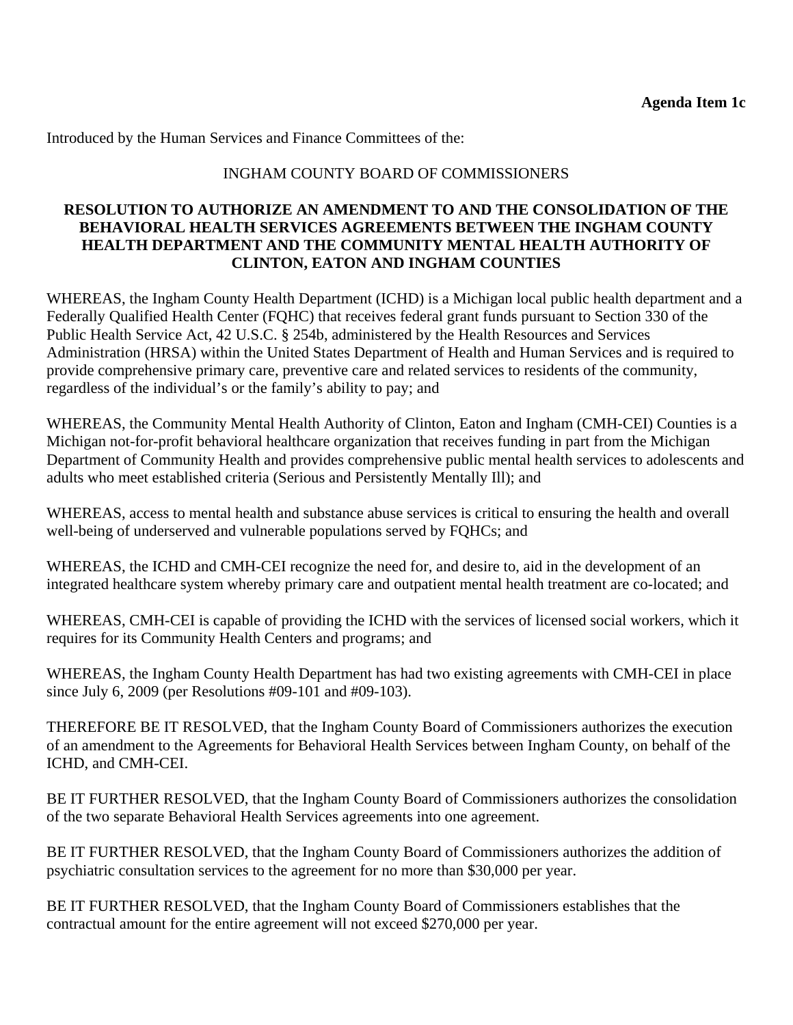Introduced by the Human Services and Finance Committees of the:

# INGHAM COUNTY BOARD OF COMMISSIONERS

### **RESOLUTION TO AUTHORIZE AN AMENDMENT TO AND THE CONSOLIDATION OF THE BEHAVIORAL HEALTH SERVICES AGREEMENTS BETWEEN THE INGHAM COUNTY HEALTH DEPARTMENT AND THE COMMUNITY MENTAL HEALTH AUTHORITY OF CLINTON, EATON AND INGHAM COUNTIES**

WHEREAS, the Ingham County Health Department (ICHD) is a Michigan local public health department and a Federally Qualified Health Center (FQHC) that receives federal grant funds pursuant to Section 330 of the Public Health Service Act, 42 U.S.C. § 254b, administered by the Health Resources and Services Administration (HRSA) within the United States Department of Health and Human Services and is required to provide comprehensive primary care, preventive care and related services to residents of the community, regardless of the individual's or the family's ability to pay; and

WHEREAS, the Community Mental Health Authority of Clinton, Eaton and Ingham (CMH-CEI) Counties is a Michigan not-for-profit behavioral healthcare organization that receives funding in part from the Michigan Department of Community Health and provides comprehensive public mental health services to adolescents and adults who meet established criteria (Serious and Persistently Mentally Ill); and

WHEREAS, access to mental health and substance abuse services is critical to ensuring the health and overall well-being of underserved and vulnerable populations served by FQHCs; and

WHEREAS, the ICHD and CMH-CEI recognize the need for, and desire to, aid in the development of an integrated healthcare system whereby primary care and outpatient mental health treatment are co-located; and

WHEREAS, CMH-CEI is capable of providing the ICHD with the services of licensed social workers, which it requires for its Community Health Centers and programs; and

WHEREAS, the Ingham County Health Department has had two existing agreements with CMH-CEI in place since July 6, 2009 (per Resolutions #09-101 and #09-103).

THEREFORE BE IT RESOLVED, that the Ingham County Board of Commissioners authorizes the execution of an amendment to the Agreements for Behavioral Health Services between Ingham County, on behalf of the ICHD, and CMH-CEI.

BE IT FURTHER RESOLVED, that the Ingham County Board of Commissioners authorizes the consolidation of the two separate Behavioral Health Services agreements into one agreement.

BE IT FURTHER RESOLVED, that the Ingham County Board of Commissioners authorizes the addition of psychiatric consultation services to the agreement for no more than \$30,000 per year.

BE IT FURTHER RESOLVED, that the Ingham County Board of Commissioners establishes that the contractual amount for the entire agreement will not exceed \$270,000 per year.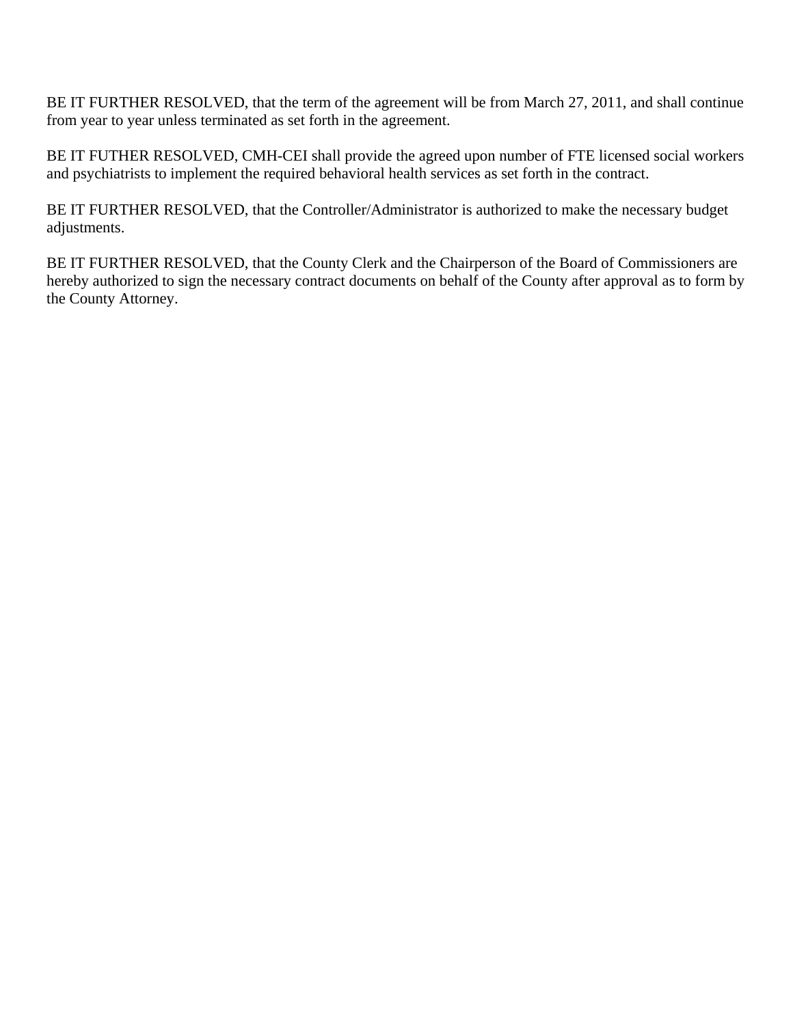BE IT FURTHER RESOLVED, that the term of the agreement will be from March 27, 2011, and shall continue from year to year unless terminated as set forth in the agreement.

BE IT FUTHER RESOLVED, CMH-CEI shall provide the agreed upon number of FTE licensed social workers and psychiatrists to implement the required behavioral health services as set forth in the contract.

BE IT FURTHER RESOLVED, that the Controller/Administrator is authorized to make the necessary budget adjustments.

BE IT FURTHER RESOLVED, that the County Clerk and the Chairperson of the Board of Commissioners are hereby authorized to sign the necessary contract documents on behalf of the County after approval as to form by the County Attorney.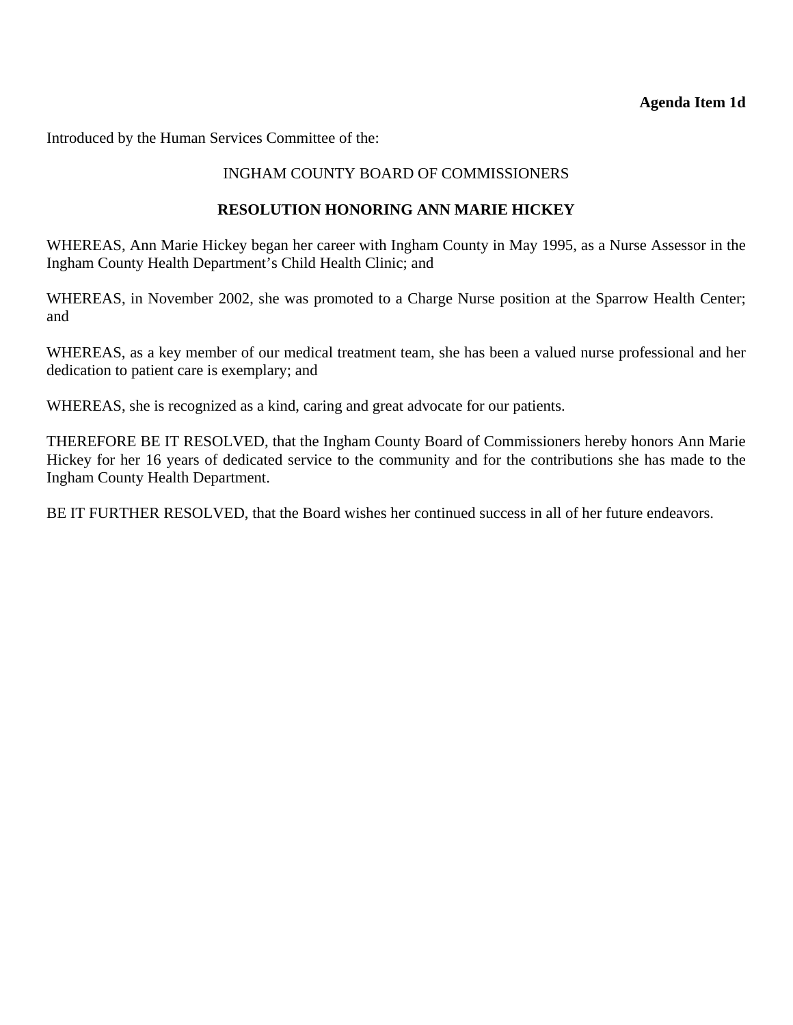### **Agenda Item 1d**

<span id="page-13-0"></span>Introduced by the Human Services Committee of the:

### INGHAM COUNTY BOARD OF COMMISSIONERS

### **RESOLUTION HONORING ANN MARIE HICKEY**

WHEREAS, Ann Marie Hickey began her career with Ingham County in May 1995, as a Nurse Assessor in the Ingham County Health Department's Child Health Clinic; and

WHEREAS, in November 2002, she was promoted to a Charge Nurse position at the Sparrow Health Center; and

WHEREAS, as a key member of our medical treatment team, she has been a valued nurse professional and her dedication to patient care is exemplary; and

WHEREAS, she is recognized as a kind, caring and great advocate for our patients.

THEREFORE BE IT RESOLVED, that the Ingham County Board of Commissioners hereby honors Ann Marie Hickey for her 16 years of dedicated service to the community and for the contributions she has made to the Ingham County Health Department.

BE IT FURTHER RESOLVED, that the Board wishes her continued success in all of her future endeavors.